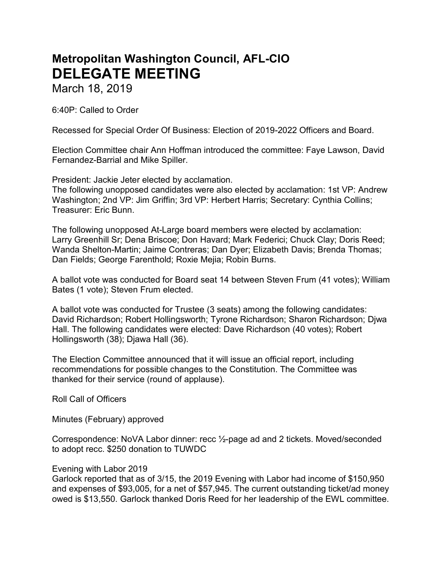# Metropolitan Washington Council, AFL-CIO DELEGATE MEETING

March 18, 2019

6:40P: Called to Order

Recessed for Special Order Of Business: Election of 2019-2022 Officers and Board.

Election Committee chair Ann Hoffman introduced the committee: Faye Lawson, David Fernandez-Barrial and Mike Spiller.

President: Jackie Jeter elected by acclamation.

The following unopposed candidates were also elected by acclamation: 1st VP: Andrew Washington; 2nd VP: Jim Griffin; 3rd VP: Herbert Harris; Secretary: Cynthia Collins; Treasurer: Eric Bunn.

The following unopposed At-Large board members were elected by acclamation: Larry Greenhill Sr; Dena Briscoe; Don Havard; Mark Federici; Chuck Clay; Doris Reed; Wanda Shelton-Martin; Jaime Contreras; Dan Dyer; Elizabeth Davis; Brenda Thomas; Dan Fields; George Farenthold; Roxie Mejia; Robin Burns.

A ballot vote was conducted for Board seat 14 between Steven Frum (41 votes); William Bates (1 vote); Steven Frum elected.

A ballot vote was conducted for Trustee (3 seats) among the following candidates: David Richardson; Robert Hollingsworth; Tyrone Richardson; Sharon Richardson; Djwa Hall. The following candidates were elected: Dave Richardson (40 votes); Robert Hollingsworth (38); Djawa Hall (36).

The Election Committee announced that it will issue an official report, including recommendations for possible changes to the Constitution. The Committee was thanked for their service (round of applause).

Roll Call of Officers

Minutes (February) approved

Correspondence: NoVA Labor dinner: recc ½-page ad and 2 tickets. Moved/seconded to adopt recc. \$250 donation to TUWDC

# Evening with Labor 2019

Garlock reported that as of 3/15, the 2019 Evening with Labor had income of \$150,950 and expenses of \$93,005, for a net of \$57,945. The current outstanding ticket/ad money owed is \$13,550. Garlock thanked Doris Reed for her leadership of the EWL committee.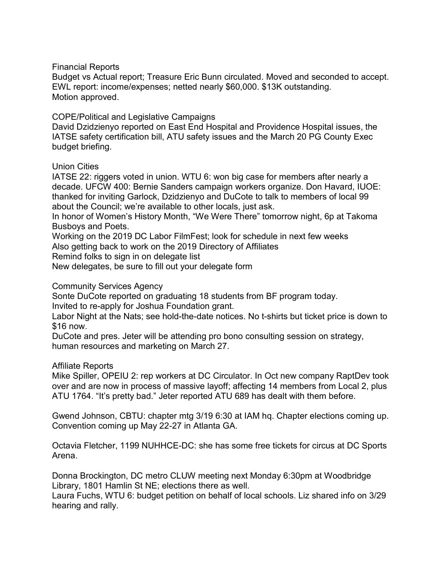# Financial Reports

Budget vs Actual report; Treasure Eric Bunn circulated. Moved and seconded to accept. EWL report: income/expenses; netted nearly \$60,000. \$13K outstanding. Motion approved.

### COPE/Political and Legislative Campaigns

David Dzidzienyo reported on East End Hospital and Providence Hospital issues, the IATSE safety certification bill, ATU safety issues and the March 20 PG County Exec budget briefing.

### Union Cities

IATSE 22: riggers voted in union. WTU 6: won big case for members after nearly a decade. UFCW 400: Bernie Sanders campaign workers organize. Don Havard, IUOE: thanked for inviting Garlock, Dzidzienyo and DuCote to talk to members of local 99 about the Council; we're available to other locals, just ask.

In honor of Women's History Month, "We Were There" tomorrow night, 6p at Takoma Busboys and Poets.

Working on the 2019 DC Labor FilmFest; look for schedule in next few weeks

Also getting back to work on the 2019 Directory of Affiliates

Remind folks to sign in on delegate list

New delegates, be sure to fill out your delegate form

# Community Services Agency

Sonte DuCote reported on graduating 18 students from BF program today. Invited to re-apply for Joshua Foundation grant.

Labor Night at the Nats; see hold-the-date notices. No t-shirts but ticket price is down to \$16 now.

DuCote and pres. Jeter will be attending pro bono consulting session on strategy, human resources and marketing on March 27.

#### Affiliate Reports

Mike Spiller, OPEIU 2: rep workers at DC Circulator. In Oct new company RaptDev took over and are now in process of massive layoff; affecting 14 members from Local 2, plus ATU 1764. "It's pretty bad." Jeter reported ATU 689 has dealt with them before.

Gwend Johnson, CBTU: chapter mtg 3/19 6:30 at IAM hq. Chapter elections coming up. Convention coming up May 22-27 in Atlanta GA.

Octavia Fletcher, 1199 NUHHCE-DC: she has some free tickets for circus at DC Sports Arena.

Donna Brockington, DC metro CLUW meeting next Monday 6:30pm at Woodbridge Library, 1801 Hamlin St NE; elections there as well.

Laura Fuchs, WTU 6: budget petition on behalf of local schools. Liz shared info on 3/29 hearing and rally.